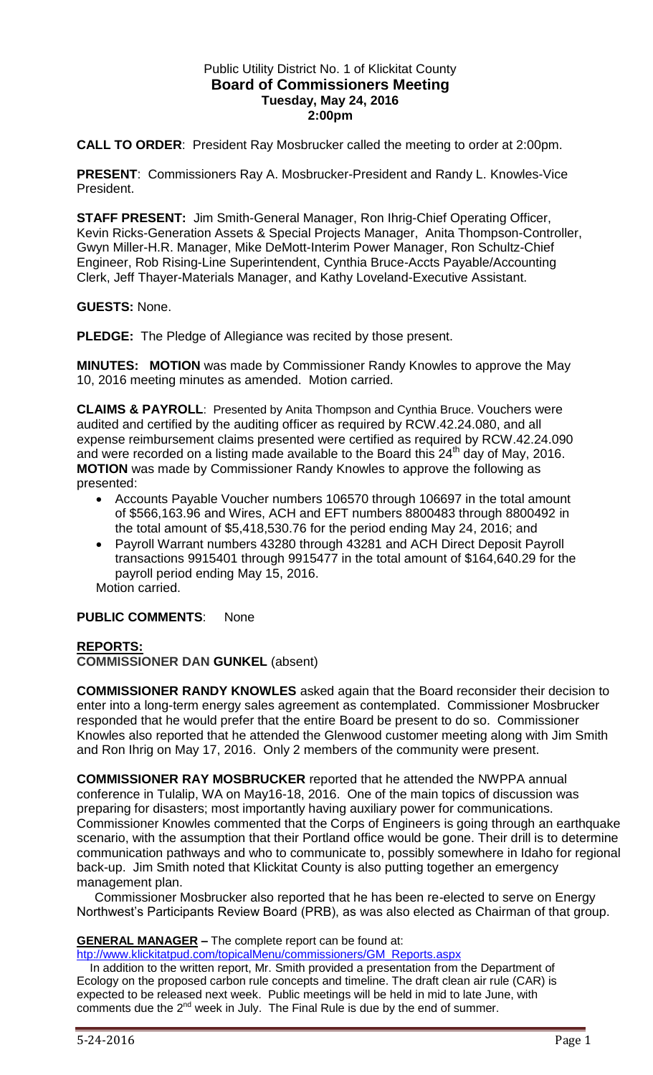## Public Utility District No. 1 of Klickitat County **Board of Commissioners Meeting Tuesday, May 24, 2016 2:00pm**

**CALL TO ORDER**: President Ray Mosbrucker called the meeting to order at 2:00pm.

**PRESENT**: Commissioners Ray A. Mosbrucker-President and Randy L. Knowles-Vice President.

**STAFF PRESENT:** Jim Smith-General Manager, Ron Ihrig-Chief Operating Officer, Kevin Ricks-Generation Assets & Special Projects Manager, Anita Thompson-Controller, Gwyn Miller-H.R. Manager, Mike DeMott-Interim Power Manager, Ron Schultz-Chief Engineer, Rob Rising-Line Superintendent, Cynthia Bruce-Accts Payable/Accounting Clerk, Jeff Thayer-Materials Manager, and Kathy Loveland-Executive Assistant.

**GUESTS:** None.

**PLEDGE:** The Pledge of Allegiance was recited by those present.

**MINUTES: MOTION** was made by Commissioner Randy Knowles to approve the May 10, 2016 meeting minutes as amended. Motion carried.

**CLAIMS & PAYROLL**: Presented by Anita Thompson and Cynthia Bruce. Vouchers were audited and certified by the auditing officer as required by RCW.42.24.080, and all expense reimbursement claims presented were certified as required by RCW.42.24.090 and were recorded on a listing made available to the Board this  $24<sup>th</sup>$  day of May, 2016. **MOTION** was made by Commissioner Randy Knowles to approve the following as presented:

- Accounts Payable Voucher numbers 106570 through 106697 in the total amount of \$566,163.96 and Wires, ACH and EFT numbers 8800483 through 8800492 in the total amount of \$5,418,530.76 for the period ending May 24, 2016; and
- Payroll Warrant numbers 43280 through 43281 and ACH Direct Deposit Payroll transactions 9915401 through 9915477 in the total amount of \$164,640.29 for the payroll period ending May 15, 2016.

Motion carried.

## **PUBLIC COMMENTS**: None

## **REPORTS:**

**COMMISSIONER DAN GUNKEL** (absent)

**COMMISSIONER RANDY KNOWLES** asked again that the Board reconsider their decision to enter into a long-term energy sales agreement as contemplated. Commissioner Mosbrucker responded that he would prefer that the entire Board be present to do so. Commissioner Knowles also reported that he attended the Glenwood customer meeting along with Jim Smith and Ron Ihrig on May 17, 2016. Only 2 members of the community were present.

**COMMISSIONER RAY MOSBRUCKER** reported that he attended the NWPPA annual conference in Tulalip, WA on May16-18, 2016. One of the main topics of discussion was preparing for disasters; most importantly having auxiliary power for communications. Commissioner Knowles commented that the Corps of Engineers is going through an earthquake scenario, with the assumption that their Portland office would be gone. Their drill is to determine communication pathways and who to communicate to, possibly somewhere in Idaho for regional back-up. Jim Smith noted that Klickitat County is also putting together an emergency management plan.

 Commissioner Mosbrucker also reported that he has been re-elected to serve on Energy Northwest's Participants Review Board (PRB), as was also elected as Chairman of that group.

**GENERAL MANAGER –** The complete report can be found at:

[htp://www.klickitatpud.com/topicalMenu/commissioners/GM\\_Reports.aspx](http://www.klickitatpud.com/topicalMenu/commissioners/GM_Reports.aspx)

 In addition to the written report, Mr. Smith provided a presentation from the Department of Ecology on the proposed carbon rule concepts and timeline. The draft clean air rule (CAR) is expected to be released next week. Public meetings will be held in mid to late June, with comments due the 2<sup>nd</sup> week in July. The Final Rule is due by the end of summer.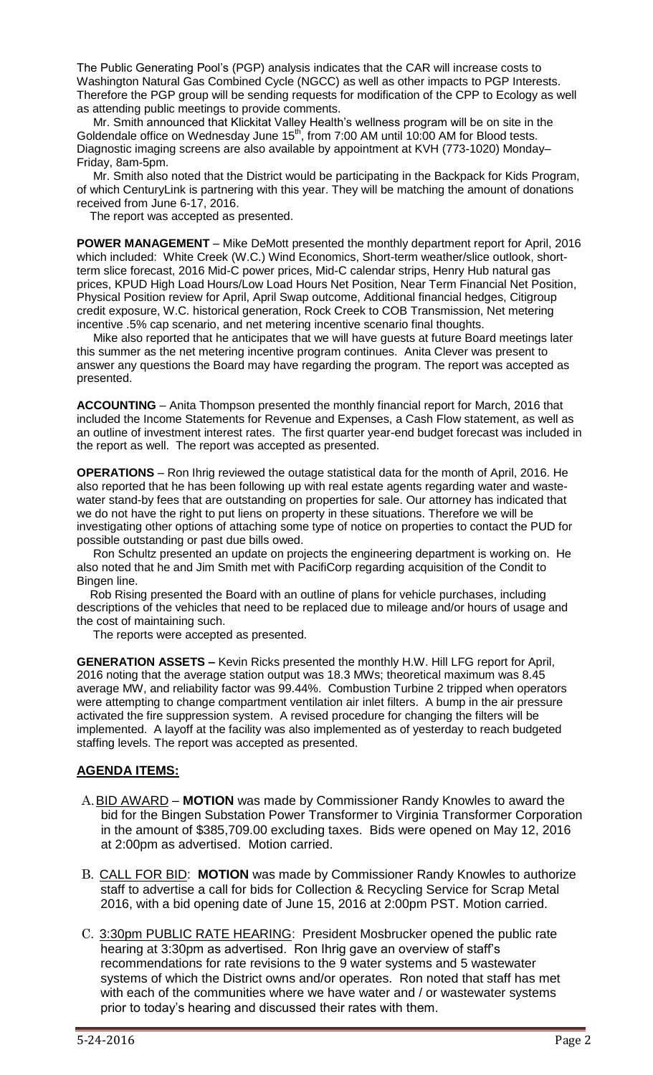The Public Generating Pool's (PGP) analysis indicates that the CAR will increase costs to Washington Natural Gas Combined Cycle (NGCC) as well as other impacts to PGP Interests. Therefore the PGP group will be sending requests for modification of the CPP to Ecology as well as attending public meetings to provide comments.

 Mr. Smith announced that Klickitat Valley Health's wellness program will be on site in the Goldendale office on Wednesday June  $15<sup>th</sup>$ , from 7:00 AM until 10:00 AM for Blood tests. Diagnostic imaging screens are also available by appointment at KVH (773-1020) Monday– Friday, 8am-5pm.

 Mr. Smith also noted that the District would be participating in the Backpack for Kids Program, of which CenturyLink is partnering with this year. They will be matching the amount of donations received from June 6-17, 2016.

The report was accepted as presented.

**POWER MANAGEMENT** – Mike DeMott presented the monthly department report for April, 2016 which included: White Creek (W.C.) Wind Economics, Short-term weather/slice outlook, shortterm slice forecast, 2016 Mid-C power prices, Mid-C calendar strips, Henry Hub natural gas prices, KPUD High Load Hours/Low Load Hours Net Position, Near Term Financial Net Position, Physical Position review for April, April Swap outcome, Additional financial hedges, Citigroup credit exposure, W.C. historical generation, Rock Creek to COB Transmission, Net metering incentive .5% cap scenario, and net metering incentive scenario final thoughts.

 Mike also reported that he anticipates that we will have guests at future Board meetings later this summer as the net metering incentive program continues. Anita Clever was present to answer any questions the Board may have regarding the program. The report was accepted as presented.

**ACCOUNTING** – Anita Thompson presented the monthly financial report for March, 2016 that included the Income Statements for Revenue and Expenses, a Cash Flow statement, as well as an outline of investment interest rates. The first quarter year-end budget forecast was included in the report as well. The report was accepted as presented.

**OPERATIONS** – Ron Ihrig reviewed the outage statistical data for the month of April, 2016. He also reported that he has been following up with real estate agents regarding water and wastewater stand-by fees that are outstanding on properties for sale. Our attorney has indicated that we do not have the right to put liens on property in these situations. Therefore we will be investigating other options of attaching some type of notice on properties to contact the PUD for possible outstanding or past due bills owed.

 Ron Schultz presented an update on projects the engineering department is working on. He also noted that he and Jim Smith met with PacifiCorp regarding acquisition of the Condit to Bingen line.

 Rob Rising presented the Board with an outline of plans for vehicle purchases, including descriptions of the vehicles that need to be replaced due to mileage and/or hours of usage and the cost of maintaining such.

The reports were accepted as presented.

**GENERATION ASSETS –** Kevin Ricks presented the monthly H.W. Hill LFG report for April, 2016 noting that the average station output was 18.3 MWs; theoretical maximum was 8.45 average MW, and reliability factor was 99.44%. Combustion Turbine 2 tripped when operators were attempting to change compartment ventilation air inlet filters. A bump in the air pressure activated the fire suppression system. A revised procedure for changing the filters will be implemented. A layoff at the facility was also implemented as of yesterday to reach budgeted staffing levels. The report was accepted as presented.

## **AGENDA ITEMS:**

- A.BID AWARD **MOTION** was made by Commissioner Randy Knowles to award the bid for the Bingen Substation Power Transformer to Virginia Transformer Corporation in the amount of \$385,709.00 excluding taxes. Bids were opened on May 12, 2016 at 2:00pm as advertised. Motion carried.
- B. CALL FOR BID: **MOTION** was made by Commissioner Randy Knowles to authorize staff to advertise a call for bids for Collection & Recycling Service for Scrap Metal 2016, with a bid opening date of June 15, 2016 at 2:00pm PST. Motion carried.
- C. 3:30pm PUBLIC RATE HEARING: President Mosbrucker opened the public rate hearing at 3:30pm as advertised. Ron Ihrig gave an overview of staff's recommendations for rate revisions to the 9 water systems and 5 wastewater systems of which the District owns and/or operates. Ron noted that staff has met with each of the communities where we have water and / or wastewater systems prior to today's hearing and discussed their rates with them.